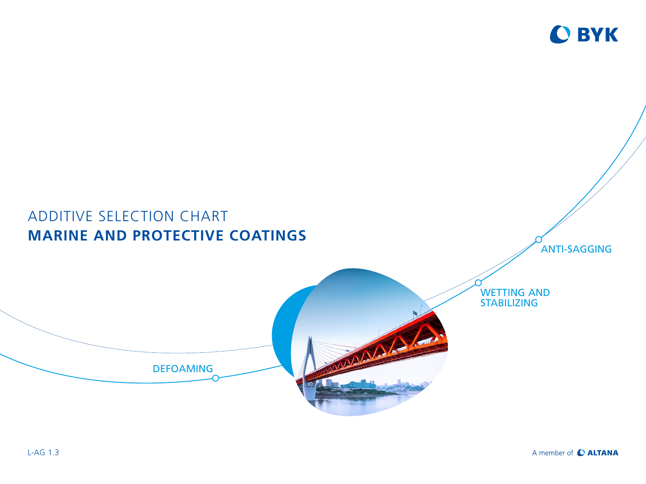

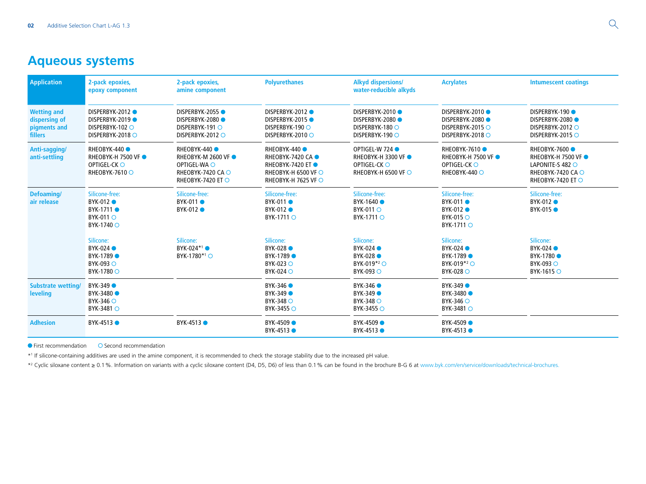## **Aqueous systems**

| <b>Application</b>                                                    | 2-pack epoxies,<br>epoxy component                                                | 2-pack epoxies,<br>amine component                                                                         | <b>Polyurethanes</b>                                                                                  | <b>Alkyd dispersions/</b><br>water-reducible alkyds                                 | <b>Acrylates</b>                                                              | <b>Intumescent coatings</b>                                                                                             |
|-----------------------------------------------------------------------|-----------------------------------------------------------------------------------|------------------------------------------------------------------------------------------------------------|-------------------------------------------------------------------------------------------------------|-------------------------------------------------------------------------------------|-------------------------------------------------------------------------------|-------------------------------------------------------------------------------------------------------------------------|
| <b>Wetting and</b><br>dispersing of<br>pigments and<br><b>fillers</b> | DISPERBYK-2012<br>DISPERBYK-2019<br>DISPERBYK-102 O<br>DISPERBYK-2018 $\circ$     | <b>DISPERBYK-2055●</b><br>DISPERBYK-2080<br>DISPERBYK-191 O<br>DISPERBYK-2012 O                            | DISPERBYK-2012<br>DISPERBYK-2015<br>DISPERBYK-190 O<br>DISPERBYK-2010 ○                               | DISPERBYK-2010<br>DISPERBYK-2080<br>DISPERBYK-180 ○<br>DISPERBYK-190 ○              | DISPERBYK-2010<br>DISPERBYK-2080<br>DISPERBYK-2015 O<br>DISPERBYK-2018 O      | <b>DISPERBYK-190 ●</b><br>DISPERBYK-2080<br>DISPERBYK-2012 O<br>DISPERBYK-2015                                          |
| Anti-sagging/<br>anti-settling                                        | RHEOBYK-440<br><b>RHEOBYK-H 7500 VF ●</b><br>OPTIGEL-CK O<br>RHEOBYK-7610 $\circ$ | RHEOBYK-440<br><b>RHEOBYK-M 2600 VF ●</b><br>OPTIGEL-WA O<br>RHEOBYK-7420 CA ○<br><b>RHEOBYK-7420 ET ○</b> | RHEOBYK-440 ●<br>RHEOBYK-7420 CA ●<br>RHEOBYK-7420 ET ●<br>RHEOBYK-H 6500 VF ○<br>RHEOBYK-H 7625 VF ○ | OPTIGEL-W 724 ●<br><b>RHEOBYK-H 3300 VF ●</b><br>OPTIGEL-CKO<br>RHEOBYK-H 6500 VF ○ | RHEOBYK-7610 ●<br><b>RHEOBYK-H 7500 VF ●</b><br>OPTIGEL-CK O<br>RHEOBYK-440 O | RHEOBYK-7600 ●<br><b>RHEOBYK-H 7500 VF ●</b><br>LAPONITE-S 482 $\circ$<br>RHEOBYK-7420 CA ○<br><b>RHEOBYK-7420 ET ○</b> |
| Defoaming/<br>air release                                             | Silicone-free:<br>BYK-012 ●<br>BYK-1711 ●<br>BYK-011 O<br>BYK-1740 ○              | Silicone-free:<br><b>BYK-011 ●</b><br>BYK-012 ●                                                            | Silicone-free:<br><b>BYK-011 ●</b><br>BYK-012 ●<br>BYK-1711 O                                         | Silicone-free:<br>BYK-1640 ●<br>BYK-011 O<br>BYK-1711 O                             | Silicone-free:<br>BYK-011 ●<br>BYK-012 ●<br><b>BYK-015</b> ○<br>BYK-1711 O    | Silicone-free:<br>BYK-012 ●<br>BYK-015 ●                                                                                |
|                                                                       | Silicone:<br>BYK-024 ●<br>BYK-1789 ●<br><b>BYK-093</b> ○<br>BYK-1780 ○            | Silicone:<br>BYK-024*1<br>BYK-1780 <sup>*1</sup> ○                                                         | Silicone:<br>BYK-028<br>BYK-1789 ●<br>$BYK-023$ $\circlearrowright$<br>BYK-024 O                      | Silicone:<br>BYK-024<br><b>BYK-028</b> ●<br>BYK-019 $*^2$ $\bigcirc$<br>BYK-093 O   | Silicone:<br>BYK-024<br>BYK-1789 ●<br>BYK-019 <sup>*2</sup> ○<br>BYK-028 O    | Silicone:<br>BYK-024<br>BYK-1780 ●<br><b>BYK-093</b> ○<br>BYK-1615 $\circ$                                              |
| <b>Substrate wetting/</b><br>leveling                                 | BYK-349 ●<br>BYK-3480 ●<br>BYK-346 ○<br>BYK-3481 O                                |                                                                                                            | BYK-346 ●<br>BYK-349 ●<br>BYK-348 ○<br>BYK-3455 ○                                                     | BYK-346<br>BYK-349 ●<br>BYK-348 O<br>BYK-3455 ○                                     | BYK-349 ●<br>BYK-3480 ●<br>$BYK-346$ $\circ$<br>BYK-3481 O                    |                                                                                                                         |
| <b>Adhesion</b>                                                       | BYK-4513 ●                                                                        | BYK-4513 ●                                                                                                 | BYK-4509 ●<br>BYK-4513 ●                                                                              | BYK-4509 ●<br>BYK-4513 ●                                                            | BYK-4509 ●<br>BYK-4513 ●                                                      |                                                                                                                         |

 $\bullet$  First recommendation  $\bullet$  Second recommendation

\*1 If silicone-containing additives are used in the amine component, it is recommended to check the storage stability due to the increased pH value.

\*2 Cyclic siloxane content ≥ 0.1%. Information on variants with a cyclic siloxane content (D4, D5, D6) of less than 0.1% can be found in the brochure B-G 6 at [www.byk.com/en/service/downloads/technical-brochures](http://www.byk.com/en/service/downloads/technical-brochures).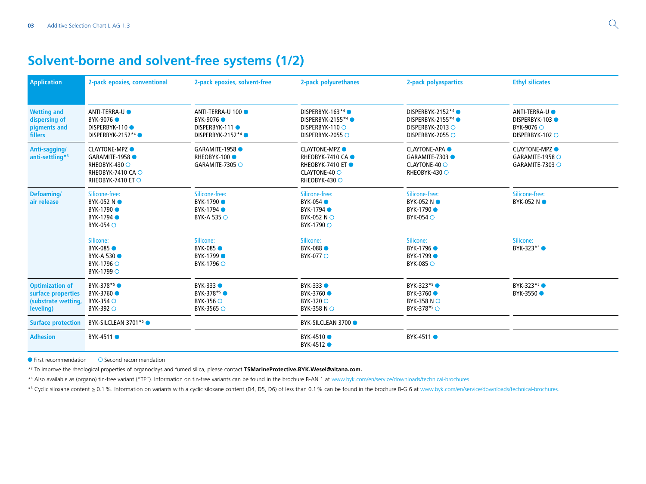## **Solvent-borne and solvent-free systems (1/2)**

| <b>Application</b>                                                               | 2-pack epoxies, conventional                                                                             | 2-pack epoxies, solvent-free                                                              | 2-pack polyurethanes                                                                              | 2-pack polyaspartics                                                                                   | <b>Ethyl silicates</b>                                                  |
|----------------------------------------------------------------------------------|----------------------------------------------------------------------------------------------------------|-------------------------------------------------------------------------------------------|---------------------------------------------------------------------------------------------------|--------------------------------------------------------------------------------------------------------|-------------------------------------------------------------------------|
| <b>Wetting and</b><br>dispersing of<br>pigments and<br><b>fillers</b>            | ANTI-TERRA-U <sup>O</sup><br>BYK-9076 ●<br><b>DISPERBYK-110●</b><br>DISPERBYK-2152 <sup>*4</sup> ●       | ANTI-TERRA-U 100<br>BYK-9076 •<br><b>DISPERBYK-111●</b><br>DISPERBYK-2152 <sup>*4</sup> ● | DISPERBYK-163*4<br>DISPERBYK-2155 <sup>*4</sup> ●<br>DISPERBYK-110 O<br>DISPERBYK-2055 ○          | DISPERBYK-2152 <sup>*4</sup><br>DISPERBYK-2155 <sup>*4</sup> ●<br>DISPERBYK-2013 O<br>DISPERBYK-2055 ○ | ANTI-TERRA-UO<br><b>DISPERBYK-103●</b><br>BYK-9076 ○<br>DISPERBYK-102 O |
| Anti-sagging/<br>anti-settling*3                                                 | <b>CLAYTONE-MPZ O</b><br>GARAMITE-1958<br><b>RHEOBYK-430 ○</b><br>RHEOBYK-7410 CA ○<br>RHEOBYK-7410 ET ○ | GARAMITE-1958<br>RHEOBYK-100<br>GARAMITE-7305 $\circ$                                     | <b>CLAYTONE-MPZ O</b><br>RHEOBYK-7410 CA ·<br>RHEOBYK-7410 ET ●<br>CLAYTONE-40 O<br>RHEOBYK-430 ○ | <b>CLAYTONE-APA O</b><br>GARAMITE-7303<br>CLAYTONE-40 O<br>RHEOBYK-430 O                               | <b>CLAYTONE-MPZ ●</b><br>GARAMITE-1958 O<br>GARAMITE-7303 O             |
| Defoaming/<br>air release                                                        | Silicone-free:<br>BYK-052 NO<br>BYK-1790 ●<br>BYK-1794 ●<br>$BYK-054$ $\circ$                            | Silicone-free:<br>BYK-1790 ●<br>BYK-1794 ●<br>BYK-A 535 O                                 | Silicone-free:<br>BYK-054<br>BYK-1794 ●<br>BYK-052 NO<br>BYK-1790 ○                               | Silicone-free:<br>BYK-052 NO<br>BYK-1790 ●<br><b>BYK-054 O</b>                                         | Silicone-free:<br>BYK-052 N ●                                           |
|                                                                                  | Silicone:<br>BYK-085 ●<br>BYK-A 530<br>BYK-1796 ○<br>BYK-1799 ○                                          | Silicone:<br>BYK-085 ●<br>BYK-1799 ●<br>BYK-1796 ○                                        | Silicone:<br><b>BYK-088 ●</b><br>BYK-077 O                                                        | Silicone:<br>BYK-1796 ●<br>BYK-1799 ●<br><b>BYK-085 ○</b>                                              | Silicone:<br>BYK-323 <sup>*5</sup> ●                                    |
| <b>Optimization of</b><br>surface properties<br>(substrate wetting,<br>leveling) | BYK-378 <sup>*5</sup><br>BYK-3760 ●<br>$BYK-354$ $\circ$<br>BYK-392 O                                    | BYK-333 O<br>BYK-378 <sup>*5</sup><br>$BYK-356$ $\circ$<br>BYK-3565 ○                     | BYK-333 ●<br>BYK-3760 ●<br>BYK-320 ○<br>BYK-358 NO                                                | BYK-323 <sup>*5</sup> ●<br>BYK-3760 ●<br>BYK-358 NO<br>BYK-378 <sup>*5</sup> ○                         | $BYK-323**$<br>BYK-3550 ●                                               |
| <b>Surface protection</b>                                                        | BYK-SILCLEAN 3701 <sup>*5</sup> ●                                                                        |                                                                                           | <b>BYK-SILCLEAN 3700 ●</b>                                                                        |                                                                                                        |                                                                         |
| <b>Adhesion</b>                                                                  | BYK-4511 ●                                                                                               |                                                                                           | BYK-4510 ●<br>BYK-4512 ●                                                                          | BYK-4511 ●                                                                                             |                                                                         |

 $\bullet$  First recommendation  $\bullet$  Second recommendation

\*3 To improve the rheological properties of organoclays and fumed silica, please contact **[TSMarineProtective.BYK.Wesel@altana.com](mailto:TSMarineProtective.BYK.Wesel%40altana.com?subject=).**

\*4 Also available as (organo) tin-free variant ("TF"). Information on tin-free variants can be found in the brochure B-AN 1 at [www.byk.com/en/service/downloads/technical-brochures](http://www.byk.com/en/service/downloads/technical-brochures).

\*5 Cyclic siloxane content ≥ 0.1%. Information on variants with a cyclic siloxane content (D4, D5, D6) of less than 0.1% can be found in the brochure B-G 6 at [www.byk.com/en/service/downloads/technical-brochures](http://www.byk.com/en/service/downloads/technical-brochures).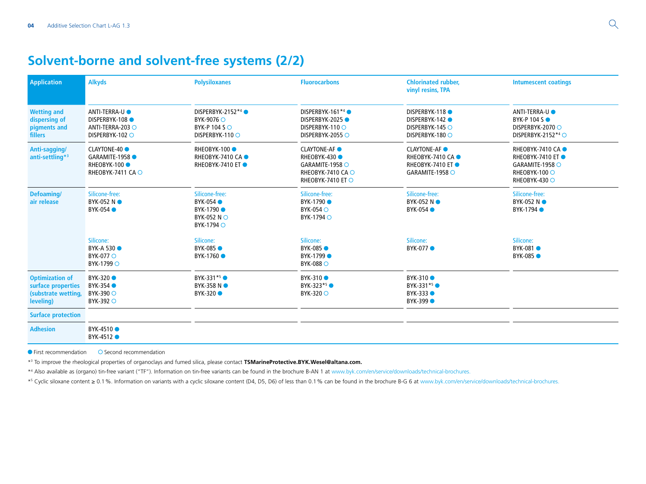## **Solvent-borne and solvent-free systems (2/2)**

| <b>Application</b>                                                               | <b>Alkyds</b>                                                                     | <b>Polysiloxanes</b>                                                             | <b>Fluorocarbons</b>                                                                           | <b>Chlorinated rubber,</b><br>vinyl resins, TPA                                 | <b>Intumescent coatings</b>                                                                                          |
|----------------------------------------------------------------------------------|-----------------------------------------------------------------------------------|----------------------------------------------------------------------------------|------------------------------------------------------------------------------------------------|---------------------------------------------------------------------------------|----------------------------------------------------------------------------------------------------------------------|
| <b>Wetting and</b><br>dispersing of<br>pigments and<br><b>fillers</b>            | ANTI-TERRA-U <sup>O</sup><br>DISPERBYK-108<br>ANTI-TERRA-203 O<br>DISPERBYK-102 O | DISPERBYK-2152 <sup>*4</sup> ●<br>BYK-9076 ○<br>BYK-P 104 S ○<br>DISPERBYK-110 O | DISPERBYK-161*4<br>DISPERBYK-2025<br>DISPERBYK-110 O<br>DISPERBYK-2055 O                       | DISPERBYK-118<br><b>DISPERBYK-142 ●</b><br>DISPERBYK-145 O<br>DISPERBYK-180 ○   | ANTI-TERRA-U <sup>O</sup><br>BYK-P 104 S $\bullet$<br>DISPERBYK-2070 ○<br>DISPERBYK-2152*4                           |
| Anti-sagging/<br>anti-settling*3                                                 | <b>CLAYTONE-40</b><br>GARAMITE-1958<br>RHEOBYK-100<br>RHEOBYK-7411 CA $\circ$     | <b>RHEOBYK-100 ●</b><br><b>RHEOBYK-7410 CA●</b><br><b>RHEOBYK-7410 ET●</b>       | <b>CLAYTONE-AF</b><br>RHEOBYK-430<br>GARAMITE-1958 O<br>RHEOBYK-7410 CA ○<br>RHEOBYK-7410 ET ○ | <b>CLAYTONE-AF</b><br>RHEOBYK-7410 CA ●<br>RHEOBYK-7410 ET ●<br>GARAMITE-1958 O | <b>RHEOBYK-7410 CA●</b><br><b>RHEOBYK-7410 ET●</b><br>GARAMITE-1958 $\circ$<br>RHEOBYK-100 O<br><b>RHEOBYK-430 ○</b> |
| Defoaming/<br>air release                                                        | Silicone-free:<br>BYK-052 NO<br><b>BYK-054 ●</b>                                  | Silicone-free:<br><b>BYK-054</b><br>BYK-1790<br>BYK-052 NO<br>BYK-1794 ○         | Silicone-free:<br>BYK-1790 ●<br>BYK-054 O<br>BYK-1794 O                                        | Silicone-free:<br>BYK-052 NO<br><b>BYK-054 ●</b>                                | Silicone-free:<br>BYK-052 NO<br>BYK-1794 ●                                                                           |
|                                                                                  | Silicone:<br><b>BYK-A 530 ●</b><br><b>BYK-077 O</b><br>BYK-1799 ○                 | Silicone:<br>BYK-085<br>BYK-1760 ●                                               | Silicone:<br>BYK-085 ●<br>BYK-1799 ●<br>BYK-088 O                                              | Silicone:<br><b>BYK-077 ●</b>                                                   | Silicone:<br>BYK-081<br><b>BYK-085</b>                                                                               |
| <b>Optimization of</b><br>surface properties<br>(substrate wetting,<br>leveling) | BYK-320 ●<br>BYK-354 ●<br>BYK-390 ○<br>BYK-392 O                                  | BYK-331*5<br>BYK-358 NO<br>BYK-320 ●                                             | BYK-310 ●<br>BYK-323 <sup>*5</sup> ●<br><b>BYK-320</b> ○                                       | <b>BYK-310</b> ●<br>BYK-331 <sup>*5</sup> ●<br>BYK-333 ●<br><b>BYK-399 ●</b>    |                                                                                                                      |
| <b>Surface protection</b>                                                        |                                                                                   |                                                                                  |                                                                                                |                                                                                 |                                                                                                                      |
| <b>Adhesion</b>                                                                  | BYK-4510 ●<br>BYK-4512                                                            |                                                                                  |                                                                                                |                                                                                 |                                                                                                                      |

 $\bullet$  First recommendation  $\bullet$  Second recommendation

\*3 To improve the rheological properties of organoclays and fumed silica, please contact **[TSMarineProtective.BYK.Wesel@altana.com](mailto:TSMarineProtective.BYK.Wesel%40altana.com?subject=).**

\*4 Also available as (organo) tin-free variant ("TF"). Information on tin-free variants can be found in the brochure B-AN 1 at [www.byk.com/en/service/downloads/technical-brochures](http://www.byk.com/en/service/downloads/technical-brochures).

\*5 Cyclic siloxane content ≥ 0.1%. Information on variants with a cyclic siloxane content (D4, D5, D6) of less than 0.1% can be found in the brochure B-G 6 at [www.byk.com/en/service/downloads/technical-brochures](http://www.byk.com/en/service/downloads/technical-brochures).